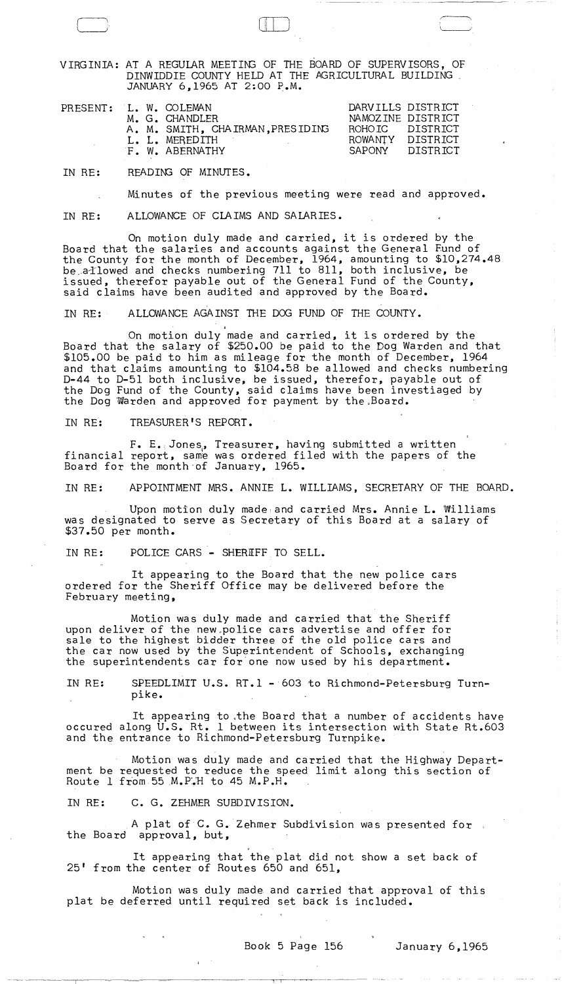VIRGINIA: AT A REGULAR MEETING OF THE BOARD OF SUPERVISORS, OF DINWIDDIE COUNTY HELD AT THE AGRICULTURAL BUILDING<br>JANUARY 6,1965 AT 2:00 P.M.

| DARVILLS DISTRICT<br>PRESENT: L. W. COLEMAN<br>NAMOZINE DISTRICT<br>M. G. CHANDLER<br>A. M. SMITH, CHAIRMAN, PRESIDING<br>ROHOIC DISTRICT |
|-------------------------------------------------------------------------------------------------------------------------------------------|
|                                                                                                                                           |

IN RE: READING OF MINUTES.

Minutes of the previous meeting were read and approved.

IN RE: ALLOWANCE OF CLAIMS AND SALARIES.

On motion duly made and carried, it is ordered by the Board that the salaries and accounts against the General Fund of the County for the month of December, 1964, amounting to \$10,274.48 be a lowed and checks numbering 711 to 811, both inclusive, be issued, therefor payable out of the General Fund of the County, said claims have been audited and approved by the Board.

IN RE: ALLOWANCE AGAINST THE DOG FUND OF THE COUNTY.

,

On motion duly made and carried, it is ordered by the Board that the salary of \$250.00 be paid to the Dog Warden and that \$105.00 be paid to him as mileage for the month of December, 1964 and that claims amounting to \$104.58 be allowed and checks numbering D-44 to D-51 both inclusive, be issued, therefor, payable out of the Dog Fund of the County, said claims have been investiaged by the Dog Warden and approved for payment by the Board.

IN RE: TREASURER'S REPORT.

 $F_+$  E. Jones, Treasurer, having submitted a written financial report, same was ordered filed with the papers of the Board for the month-of January, 1965.

IN RE: APPOINTMENT MRS. ANNIE L. WILLIAMS, SECRETARY OF THE BOARD.

Upon motion duly made, and carried Mrs. Annie L. Williams was designated to serve as Secretary of this Board at a salary of \$37.50 per month.

IN RE: POLICE CARS - SHERIFF TO SELL.

It appearing to the Board that the new police cars ordered for the Sheriff Office may be delivered before the February meeting,

Motion was duly made and carried that the Sheriff upon deliver of the new police cars advertise and offer for sale to the highest bidder three of the old police cars and the car now used by the Superintendent of Schools, exchanging the superintendents car for'one now used by his department.

IN RE: SPEEDLIMIT U.S. RT.l -603 to Richmond-Petersburg Turnpike.

It appearing to ,the Board that a number of accidents have occured along U.S. Rt. 1 between its intersection with State Rt.603 and the entrance to Richmond-Petersburg Turnpike.

Motion was duly made and carried that the Highway Department be requested to reduce the speed limit along this section of Route 1 from 55  $M$ . P.H to 45  $M$ . P.H.

IN RE: C. G. ZEHMER SUBDIVISION.

A plat of C. G. Zehmer Subdivision was presented for the Board approval, but,

It appearing that the plat did not show a set back of 25' from the center of Routes 650 and 651,

Motion was duly made and carried that approval of this plat be deferred until required set back is included.

7 T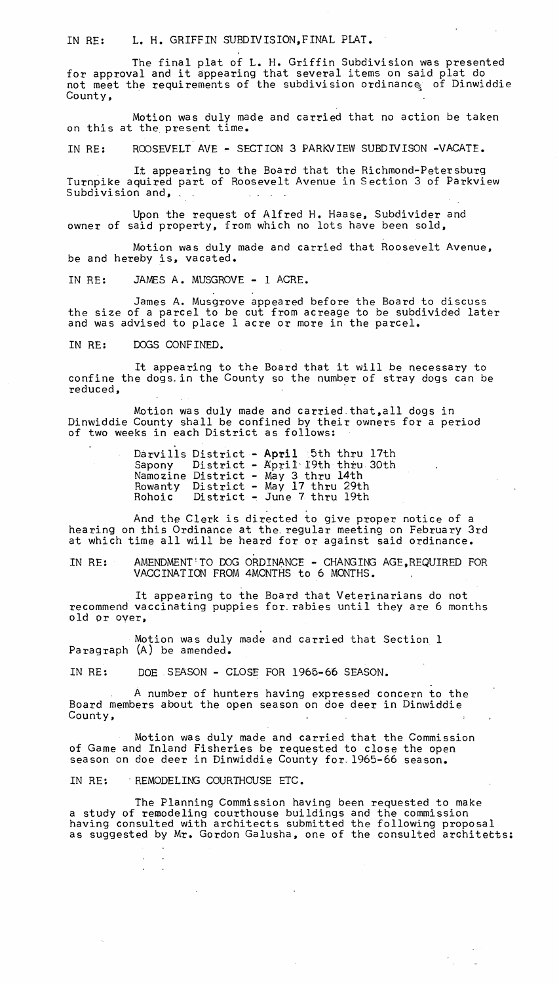IN RE: L. H. GRIFFIN SUBDIVISION,FINAL PLAT.

The final plat of L. H. Griffin Subdivision was presented for approval and it appearing that several items on said plat do not meet the requirements of the subdivision ordinance of Dinwiddie County,

Motion was duly made and carried that no action be taken on this at the present time.

IN RE: ROOSEVELT AVE - SECTION 3 PARKVIEW SUBDIVISON -VACATE.

It appearing to the Board that the Richmond-Petersburg Turnpike aquired part of Roosevelt Avenue in Section 3 of Parkview<br>Subdivision and,

Upon the request of Alfred H. Haase, Subdivider and owner of said property, from which no lots have been sold,

Motion was duly made and carried that Roosevelt Avenue. be and hereby is, vacated.

IN RE: JAMES A. MUSGROVE - 1 ACRE.

James A. Musgrove appeared before the Board to discuss the size of a parcel to be cut from acreage to be subdivided later and was advised to place 1 acre or more in the parcel.

IN RE: DOGS CONFINED.

It appearing to the Board that it will be necessary to confine the dogs. in the County so the number of stray dogs can be reduced, which is a set of the contract of the contract of the contract of the contract of the contract of the contract of the contract of the contract of the contract of the contract of the contract of the contract of the

Motion was duly made and carried.that,all dogs in Dinwiddie County shall be confined by their owners for a period of two weeks in each District as follows:

> Darvills District - April 5th thru 17th Sapony Namozine Rowanty Rohoic  $District - April-19th$  thru 30th District - May 3 thru 14th District - May 17 thru 29th

And the Clerk is directed to give proper notice of a hearing on this Ordinance at the. regular meeting on February 3rd at which time all will be heard for or against said ordinance.

IN RE: AMENDMENT!TO DOG ORDINANCE - CHANGING AGE,REQUIRED FOR VACCINATION FROM 4MONTHS to 6 MONTHS.

It appearing to the Board that Veterinarians do not recommend vaccinating puppies for. rabies until they are 6 months old or over,

Motion was duly made and carried that Section 1 Paragraph (A) be amended.

IN RE: DOE SEASON - CLOSE FOR 1965-66 SEASON.

A number of hunters having expressed concern to the Board members about the open season on doe deer in Dinwiddie County,

Motion was duly made and carried that the Commission of Game and Inland Fisheries be requested to close the open season on doe deer in Dinwiddie County for 1965-66 season.

IN RE: REMODELING COURTHOUSE ETC.

 $\mathbf{A}$  $\sim 10$ 

 $\sim 200$ 

The Planning Commission having been requested to make a study of remodeling courthouse buildings and the commission having consulted with architects submitted the following proposal having constitute with dishibutes submitted the roffolding proposar

 $\sim 100$ 

 $\sim 10$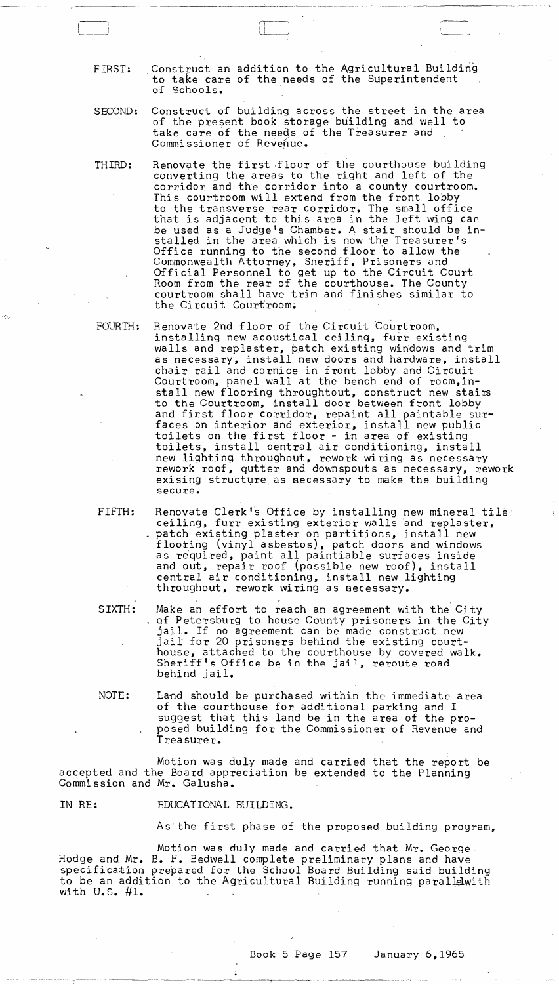FIRST: Construct an addition to the Agricultural Building to take care of the needs of the Superintendent of Schools.

,--------- - -- ~~----------.--~.-- .. -----.-. ---\_.\_- - -----------

SECOND: Construct of building across the street in the area of the present book storage building and well to take care of the needs of the Treasurer and Commissioner of Revenue.

THIRD: Renovate the first floor of the courthouse building converting the areas to the right and left of the corridor and th'e corridor into a county courtroom. This courtroom will extend from the front. lobby to the transverse rear corridor. The small office that is adjacent to this area in the left wing can be used as a Judge's Chamber. A stair should be installed in the area which is now the Treasurer's Office running to the second floor to allow the Commonwealth Attorney, Sheriff, Prisoners and Official Personnel to get up to the Circuit Court Room from the rear of the courthouse. The County courtroom shall have trim and finishes similar to the Circuit Courtroom.

FOURTH: Renovate 2nd floor of the Circuit Courtroom, installing new acoustical ceiling, furr existing walls and replaster, patch existing windows and trim as necessary, install new doors and hardware, install chair rail and cornice in front lobby and Circuit Courtroom, panel wall at the bench end of room,install new flooring throughtout, construct new stairs to the Courtroom, install door between front lobby and first floor corridor, repaint all paintable surfaces on interior and exterior, install new public toilets on the first floor - in area of existing toilets, install central air conditioning, install new lighting throughout, rework wiring as necessary rework roof, qutter and downspouts as necessary, rework exising structure as necessary to make the building secure.

FIFTH: Renovate Clerk's Office by installing new mineral tile ceiling, furr existing exterior walls and replaster,<br>patch existing plaster on partitions, install new flooting (vinyl asbestos), patch doors and windows as required, paint all paintiable surfaces inside and out, repair roof (possible new roof), install central air conditioning, install new lighting throughout, rework wiring as necessary.

SIXTH: Make an effort to reach an agreement with the City<br>of Petersburg to house County prisoners in the City. jail. If no agreement can be made construct new<br>jail for 20 prisoners behind the existing courthouse, attached to the courthouse by covered walk. Sheriff's Office be in the jail, reroute road behind jail.

NOTE: Land should be purchased within the immediate area of the courthouse for additional parking and I suggest that this land be in the area of the proposed building for the Commissioner of Revenue and Treasurer.

Motion was duly made and carried that the report be accepted and the Board appreciation be extended to the Planning Commission and Mr. Galusha.

IN RE: EDUCATIONAL BUILDING.

- ----~. ~---- -\_-""-~--:----\_\_ -------:~-\_-\_\_\_\_ ~~-rr---t· .. ...,...

As the first phase of the proposed building program,

 $\sim 1$ 

Motion was duly made and carried that Mr. George, Hodge and Mr. B. F. Bedwell complete preliminary plans and have specification prepared for the School Board Building said building to be an addition to the Agricultural Building running parallelwith with  $U.S.$  #1.